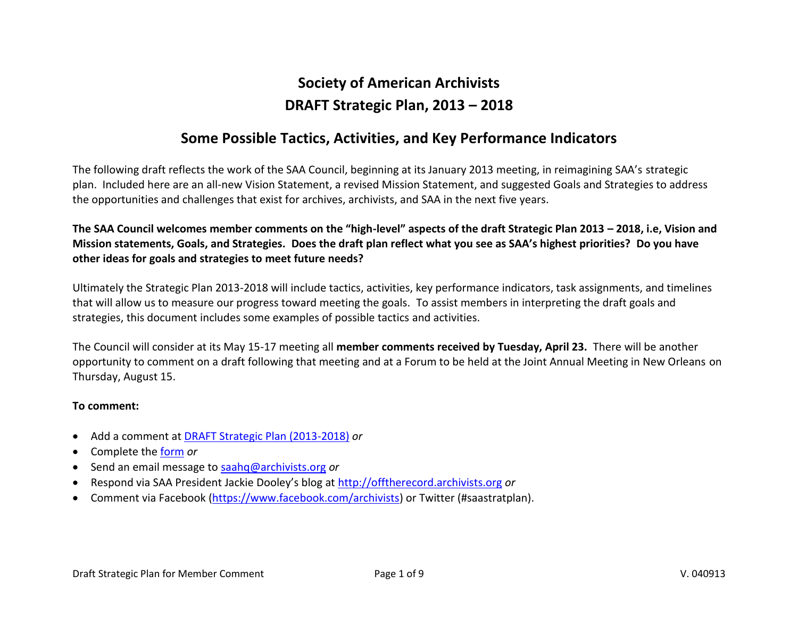# **Society of American Archivists DRAFT Strategic Plan, 2013 – 2018**

## **Some Possible Tactics, Activities, and Key Performance Indicators**

The following draft reflects the work of the SAA Council, beginning at its January 2013 meeting, in reimagining SAA's strategic plan. Included here are an all-new Vision Statement, a revised Mission Statement, and suggested Goals and Strategies to address the opportunities and challenges that exist for archives, archivists, and SAA in the next five years.

**The SAA Council welcomes member comments on the "high-level" aspects of the draft Strategic Plan 2013 – 2018, i.e, Vision and Mission statements, Goals, and Strategies. Does the draft plan reflect what you see as SAA's highest priorities? Do you have other ideas for goals and strategies to meet future needs?**

Ultimately the Strategic Plan 2013-2018 will include tactics, activities, key performance indicators, task assignments, and timelines that will allow us to measure our progress toward meeting the goals. To assist members in interpreting the draft goals and strategies, this document includes some examples of possible tactics and activities.

The Council will consider at its May 15-17 meeting all **member comments received by Tuesday, April 23.** There will be another opportunity to comment on a draft following that meeting and at a Forum to be held at the Joint Annual Meeting in New Orleans on Thursday, August 15.

#### **To comment:**

- Add a comment at [DRAFT Strategic Plan \(2013-2018\)](http://www2.archivists.org/governance/strategic-priorities/draftFY2013-18) *or*
- Complete the [form](http://www2.archivists.org/governance/strategic-priorities/0413) *or*
- Send an email message to [saahq@archivists.org](mailto:saahq@archivists.org) *or*
- Respond via SAA President Jackie Dooley's blog at [http://offtherecord.archivists.org](http://offtherecord.archivists.org/) *or*
- Comment via Facebook [\(https://www.facebook.com/archivists\)](https://www.facebook.com/archivists) or Twitter (#saastratplan).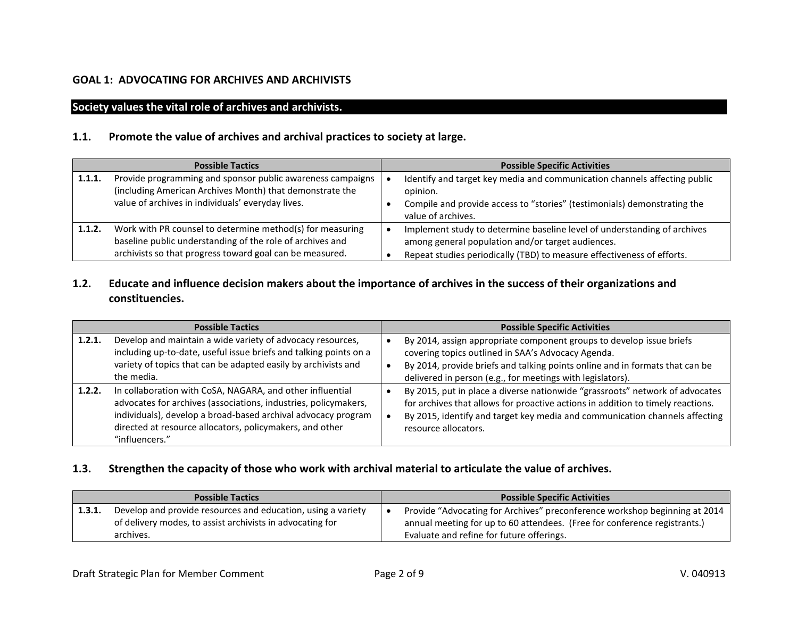#### **GOAL 1: ADVOCATING FOR ARCHIVES AND ARCHIVISTS**

#### **Society values the vital role of archives and archivists.**

#### **1.1. Promote the value of archives and archival practices to society at large.**

| <b>Possible Tactics</b> |                                                                                                                                                                                    | <b>Possible Specific Activities</b>                                                                                                                                                                     |  |
|-------------------------|------------------------------------------------------------------------------------------------------------------------------------------------------------------------------------|---------------------------------------------------------------------------------------------------------------------------------------------------------------------------------------------------------|--|
| 1.1.1.                  | Provide programming and sponsor public awareness campaigns<br>(including American Archives Month) that demonstrate the<br>value of archives in individuals' everyday lives.        | Identify and target key media and communication channels affecting public<br>opinion.<br>Compile and provide access to "stories" (testimonials) demonstrating the<br>value of archives.                 |  |
| 1.1.2.                  | Work with PR counsel to determine method(s) for measuring<br>baseline public understanding of the role of archives and<br>archivists so that progress toward goal can be measured. | Implement study to determine baseline level of understanding of archives<br>among general population and/or target audiences.<br>Repeat studies periodically (TBD) to measure effectiveness of efforts. |  |

### **1.2. Educate and influence decision makers about the importance of archives in the success of their organizations and constituencies.**

|        | <b>Possible Tactics</b>                                                                                                                                                                                                                                                     | <b>Possible Specific Activities</b>                                                                                                                                                                                                                                      |  |
|--------|-----------------------------------------------------------------------------------------------------------------------------------------------------------------------------------------------------------------------------------------------------------------------------|--------------------------------------------------------------------------------------------------------------------------------------------------------------------------------------------------------------------------------------------------------------------------|--|
| 1.2.1. | Develop and maintain a wide variety of advocacy resources,<br>including up-to-date, useful issue briefs and talking points on a<br>variety of topics that can be adapted easily by archivists and<br>the media.                                                             | By 2014, assign appropriate component groups to develop issue briefs<br>covering topics outlined in SAA's Advocacy Agenda.<br>By 2014, provide briefs and talking points online and in formats that can be<br>delivered in person (e.g., for meetings with legislators). |  |
| 1.2.2. | In collaboration with CoSA, NAGARA, and other influential<br>advocates for archives (associations, industries, policymakers,<br>individuals), develop a broad-based archival advocacy program<br>directed at resource allocators, policymakers, and other<br>"influencers." | By 2015, put in place a diverse nationwide "grassroots" network of advocates<br>for archives that allows for proactive actions in addition to timely reactions.<br>By 2015, identify and target key media and communication channels affecting<br>resource allocators.   |  |

#### **1.3. Strengthen the capacity of those who work with archival material to articulate the value of archives.**

| <b>Possible Tactics</b> |                                                              | <b>Possible Specific Activities</b>                                        |
|-------------------------|--------------------------------------------------------------|----------------------------------------------------------------------------|
| 1.3.1.                  | Develop and provide resources and education, using a variety | Provide "Advocating for Archives" preconference workshop beginning at 2014 |
|                         | of delivery modes, to assist archivists in advocating for    | annual meeting for up to 60 attendees. (Free for conference registrants.)  |
|                         | archives.                                                    | Evaluate and refine for future offerings.                                  |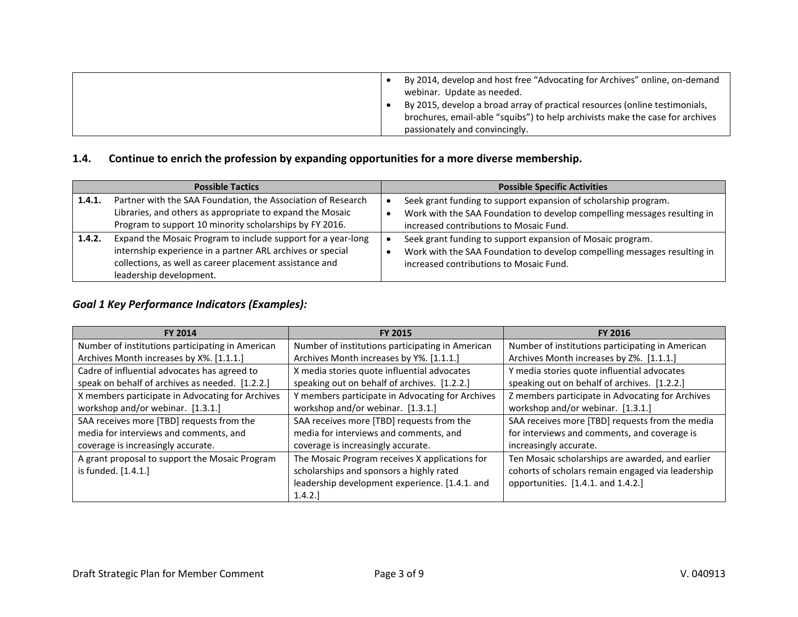|  | By 2014, develop and host free "Advocating for Archives" online, on-demand<br>webinar. Update as needed.                                                     |
|--|--------------------------------------------------------------------------------------------------------------------------------------------------------------|
|  | By 2015, develop a broad array of practical resources (online testimonials,<br>brochures, email-able "squibs") to help archivists make the case for archives |
|  | passionately and convincingly.                                                                                                                               |

#### **1.4. Continue to enrich the profession by expanding opportunities for a more diverse membership.**

| <b>Possible Tactics</b> |                                                                                                                                                                                                                  | <b>Possible Specific Activities</b>                                                                                                                                                    |  |
|-------------------------|------------------------------------------------------------------------------------------------------------------------------------------------------------------------------------------------------------------|----------------------------------------------------------------------------------------------------------------------------------------------------------------------------------------|--|
| 1.4.1.                  | Partner with the SAA Foundation, the Association of Research<br>Libraries, and others as appropriate to expand the Mosaic<br>Program to support 10 minority scholarships by FY 2016.                             | Seek grant funding to support expansion of scholarship program.<br>Work with the SAA Foundation to develop compelling messages resulting in<br>increased contributions to Mosaic Fund. |  |
| 1.4.2.                  | Expand the Mosaic Program to include support for a year-long<br>internship experience in a partner ARL archives or special<br>collections, as well as career placement assistance and<br>leadership development. | Seek grant funding to support expansion of Mosaic program.<br>Work with the SAA Foundation to develop compelling messages resulting in<br>increased contributions to Mosaic Fund.      |  |

## *Goal 1 Key Performance Indicators (Examples):*

| <b>FY 2014</b>                                   | <b>FY 2015</b>                                   | <b>FY 2016</b>                                    |
|--------------------------------------------------|--------------------------------------------------|---------------------------------------------------|
| Number of institutions participating in American | Number of institutions participating in American | Number of institutions participating in American  |
| Archives Month increases by X%. [1.1.1.]         | Archives Month increases by Y%. [1.1.1.]         | Archives Month increases by Z%. [1.1.1.]          |
| Cadre of influential advocates has agreed to     | X media stories quote influential advocates      | Y media stories quote influential advocates       |
| speak on behalf of archives as needed. [1.2.2.]  | speaking out on behalf of archives. [1.2.2.]     | speaking out on behalf of archives. [1.2.2.]      |
| X members participate in Advocating for Archives | Y members participate in Advocating for Archives | Z members participate in Advocating for Archives  |
| workshop and/or webinar. [1.3.1.]                | workshop and/or webinar. [1.3.1.]                | workshop and/or webinar. [1.3.1.]                 |
| SAA receives more [TBD] requests from the        | SAA receives more [TBD] requests from the        | SAA receives more [TBD] requests from the media   |
| media for interviews and comments, and           | media for interviews and comments, and           | for interviews and comments, and coverage is      |
| coverage is increasingly accurate.               | coverage is increasingly accurate.               | increasingly accurate.                            |
| A grant proposal to support the Mosaic Program   | The Mosaic Program receives X applications for   | Ten Mosaic scholarships are awarded, and earlier  |
| is funded. [1.4.1.]                              | scholarships and sponsors a highly rated         | cohorts of scholars remain engaged via leadership |
|                                                  | leadership development experience. [1.4.1. and   | opportunities. [1.4.1. and 1.4.2.]                |
|                                                  | 1.4.2.                                           |                                                   |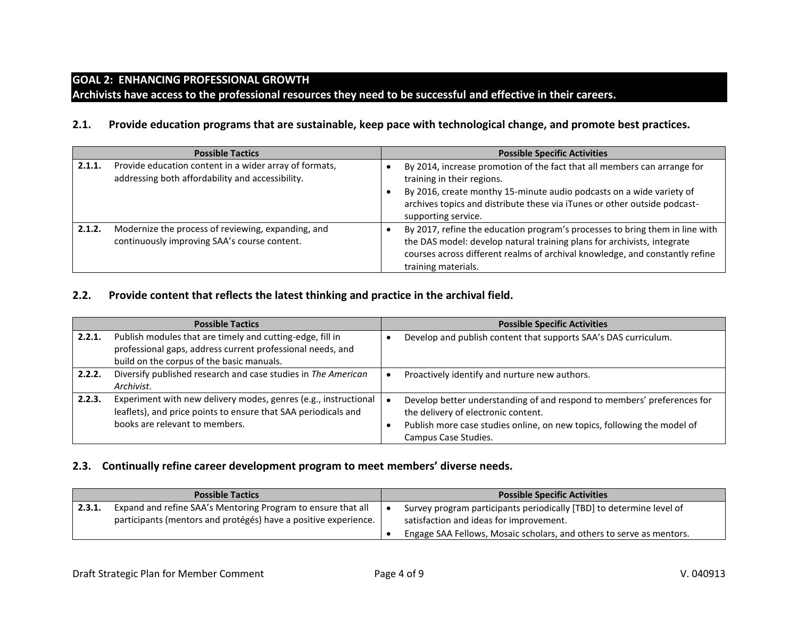### **GOAL 2: ENHANCING PROFESSIONAL GROWTH**

**Archivists have access to the professional resources they need to be successful and effective in their careers.**

#### **2.1. Provide education programs that are sustainable, keep pace with technological change, and promote best practices.**

|        | <b>Possible Tactics</b>                                                                                    | <b>Possible Specific Activities</b>                                                                                                                                                                                                                                                |
|--------|------------------------------------------------------------------------------------------------------------|------------------------------------------------------------------------------------------------------------------------------------------------------------------------------------------------------------------------------------------------------------------------------------|
| 2.1.1. | Provide education content in a wider array of formats,<br>addressing both affordability and accessibility. | By 2014, increase promotion of the fact that all members can arrange for<br>training in their regions.<br>By 2016, create monthy 15-minute audio podcasts on a wide variety of<br>archives topics and distribute these via iTunes or other outside podcast-<br>supporting service. |
| 2.1.2. | Modernize the process of reviewing, expanding, and<br>continuously improving SAA's course content.         | By 2017, refine the education program's processes to bring them in line with<br>the DAS model: develop natural training plans for archivists, integrate<br>courses across different realms of archival knowledge, and constantly refine<br>training materials.                     |

#### **2.2. Provide content that reflects the latest thinking and practice in the archival field.**

|        | <b>Possible Tactics</b>                                                                                                                                              | <b>Possible Specific Activities</b>                                                                                                                                                                               |
|--------|----------------------------------------------------------------------------------------------------------------------------------------------------------------------|-------------------------------------------------------------------------------------------------------------------------------------------------------------------------------------------------------------------|
| 2.2.1. | Publish modules that are timely and cutting-edge, fill in<br>professional gaps, address current professional needs, and<br>build on the corpus of the basic manuals. | Develop and publish content that supports SAA's DAS curriculum.                                                                                                                                                   |
| 2.2.2. | Diversify published research and case studies in The American<br>Archivist.                                                                                          | Proactively identify and nurture new authors.                                                                                                                                                                     |
| 2.2.3. | Experiment with new delivery modes, genres (e.g., instructional<br>leaflets), and price points to ensure that SAA periodicals and<br>books are relevant to members.  | Develop better understanding of and respond to members' preferences for<br>the delivery of electronic content.<br>Publish more case studies online, on new topics, following the model of<br>Campus Case Studies. |

#### **2.3. Continually refine career development program to meet members' diverse needs.**

| <b>Possible Tactics</b> |                                                                                                                                 | <b>Possible Specific Activities</b>                                                                             |  |
|-------------------------|---------------------------------------------------------------------------------------------------------------------------------|-----------------------------------------------------------------------------------------------------------------|--|
| 2.3.1.                  | Expand and refine SAA's Mentoring Program to ensure that all<br>participants (mentors and protégés) have a positive experience. | Survey program participants periodically [TBD] to determine level of<br>satisfaction and ideas for improvement. |  |
|                         |                                                                                                                                 | Engage SAA Fellows, Mosaic scholars, and others to serve as mentors.                                            |  |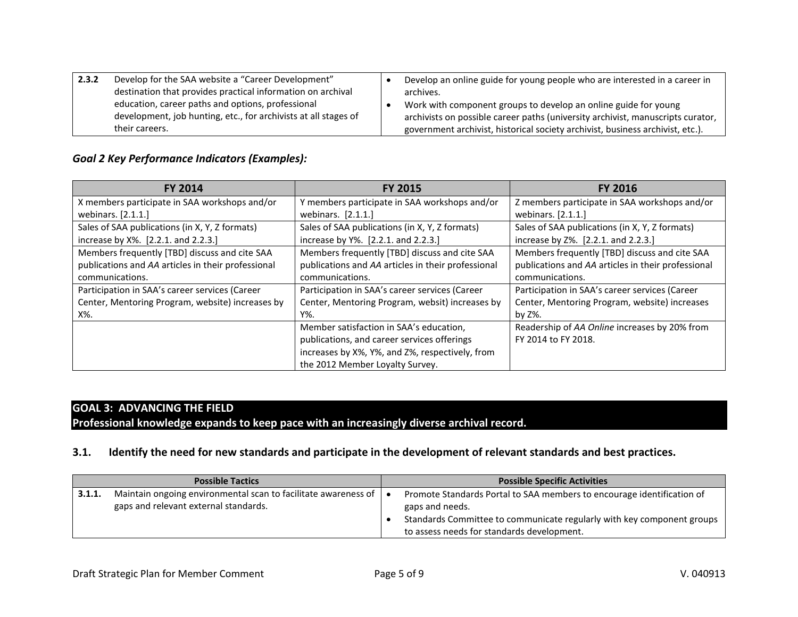| 2.3.2 | Develop for the SAA website a "Career Development"              | Develop an online guide for young people who are interested in a career in      |
|-------|-----------------------------------------------------------------|---------------------------------------------------------------------------------|
|       | destination that provides practical information on archival     | archives.                                                                       |
|       | education, career paths and options, professional               | Work with component groups to develop an online guide for young                 |
|       | development, job hunting, etc., for archivists at all stages of | archivists on possible career paths (university archivist, manuscripts curator, |
|       | their careers.                                                  | government archivist, historical society archivist, business archivist, etc.).  |

## *Goal 2 Key Performance Indicators (Examples):*

| <b>FY 2014</b>                                     | <b>FY 2015</b>                                     | <b>FY 2016</b>                                     |
|----------------------------------------------------|----------------------------------------------------|----------------------------------------------------|
| X members participate in SAA workshops and/or      | Y members participate in SAA workshops and/or      | Z members participate in SAA workshops and/or      |
| webinars. [2.1.1.]                                 | webinars. [2.1.1.]                                 | webinars. [2.1.1.]                                 |
| Sales of SAA publications (in X, Y, Z formats)     | Sales of SAA publications (in X, Y, Z formats)     | Sales of SAA publications (in X, Y, Z formats)     |
| increase by X%. [2.2.1. and 2.2.3.]                | increase by Y%. [2.2.1. and 2.2.3.]                | increase by Z%. [2.2.1. and 2.2.3.]                |
| Members frequently [TBD] discuss and cite SAA      | Members frequently [TBD] discuss and cite SAA      | Members frequently [TBD] discuss and cite SAA      |
| publications and AA articles in their professional | publications and AA articles in their professional | publications and AA articles in their professional |
| communications.                                    | communications.                                    | communications.                                    |
| Participation in SAA's career services (Career     | Participation in SAA's career services (Career     | Participation in SAA's career services (Career     |
| Center, Mentoring Program, website) increases by   | Center, Mentoring Program, websit) increases by    | Center, Mentoring Program, website) increases      |
| X%.                                                | Y%.                                                | by Z%.                                             |
|                                                    | Member satisfaction in SAA's education,            | Readership of AA Online increases by 20% from      |
|                                                    | publications, and career services offerings        | FY 2014 to FY 2018.                                |
|                                                    | increases by X%, Y%, and Z%, respectively, from    |                                                    |
|                                                    | the 2012 Member Loyalty Survey.                    |                                                    |

## **GOAL 3: ADVANCING THE FIELD**

**Professional knowledge expands to keep pace with an increasingly diverse archival record.**

## **3.1. Identify the need for new standards and participate in the development of relevant standards and best practices.**

| <b>Possible Tactics</b> |                                                                | <b>Possible Specific Activities</b>                                    |  |
|-------------------------|----------------------------------------------------------------|------------------------------------------------------------------------|--|
| 3.1.1.                  | Maintain ongoing environmental scan to facilitate awareness of | Promote Standards Portal to SAA members to encourage identification of |  |
|                         | gaps and relevant external standards.                          | gaps and needs.                                                        |  |
|                         |                                                                | Standards Committee to communicate regularly with key component groups |  |
|                         |                                                                | to assess needs for standards development.                             |  |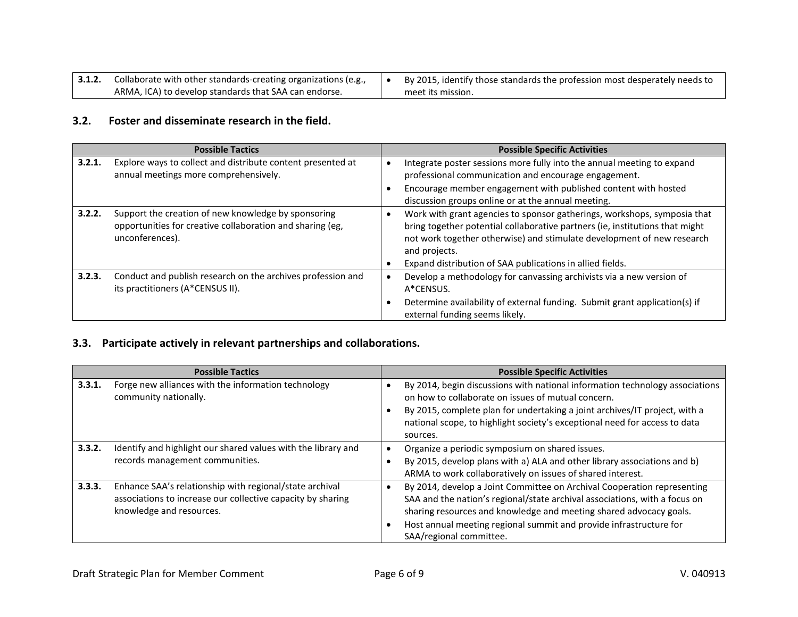| 3.1.2. | Collaborate with other standards-creating organizations (e.g., | By 2015, identify those standards the profession most desperately needs to |
|--------|----------------------------------------------------------------|----------------------------------------------------------------------------|
|        | ARMA, ICA) to develop standards that SAA can endorse.          | meet its mission.                                                          |

### **3.2. Foster and disseminate research in the field.**

|        | <b>Possible Tactics</b>                                                                                                             | <b>Possible Specific Activities</b>                                                                                                                                                                                                                                                                              |
|--------|-------------------------------------------------------------------------------------------------------------------------------------|------------------------------------------------------------------------------------------------------------------------------------------------------------------------------------------------------------------------------------------------------------------------------------------------------------------|
| 3.2.1. | Explore ways to collect and distribute content presented at<br>annual meetings more comprehensively.                                | Integrate poster sessions more fully into the annual meeting to expand<br>$\bullet$<br>professional communication and encourage engagement.<br>Encourage member engagement with published content with hosted<br>discussion groups online or at the annual meeting.                                              |
| 3.2.2. | Support the creation of new knowledge by sponsoring<br>opportunities for creative collaboration and sharing (eg,<br>unconferences). | Work with grant agencies to sponsor gatherings, workshops, symposia that<br>bring together potential collaborative partners (ie, institutions that might<br>not work together otherwise) and stimulate development of new research<br>and projects.<br>Expand distribution of SAA publications in allied fields. |
| 3.2.3. | Conduct and publish research on the archives profession and<br>its practitioners (A*CENSUS II).                                     | Develop a methodology for canvassing archivists via a new version of<br>A*CENSUS.<br>Determine availability of external funding. Submit grant application(s) if<br>external funding seems likely.                                                                                                                |

## **3.3. Participate actively in relevant partnerships and collaborations.**

|        | <b>Possible Tactics</b>                                                                                                                            | <b>Possible Specific Activities</b>                                                                                                                                                                                                                                                                                               |
|--------|----------------------------------------------------------------------------------------------------------------------------------------------------|-----------------------------------------------------------------------------------------------------------------------------------------------------------------------------------------------------------------------------------------------------------------------------------------------------------------------------------|
| 3.3.1. | Forge new alliances with the information technology<br>community nationally.                                                                       | By 2014, begin discussions with national information technology associations<br>on how to collaborate on issues of mutual concern.<br>By 2015, complete plan for undertaking a joint archives/IT project, with a<br>national scope, to highlight society's exceptional need for access to data<br>sources.                        |
| 3.3.2. | Identify and highlight our shared values with the library and<br>records management communities.                                                   | Organize a periodic symposium on shared issues.<br>٠<br>By 2015, develop plans with a) ALA and other library associations and b)<br>ARMA to work collaboratively on issues of shared interest.                                                                                                                                    |
| 3.3.3. | Enhance SAA's relationship with regional/state archival<br>associations to increase our collective capacity by sharing<br>knowledge and resources. | By 2014, develop a Joint Committee on Archival Cooperation representing<br>٠<br>SAA and the nation's regional/state archival associations, with a focus on<br>sharing resources and knowledge and meeting shared advocacy goals.<br>Host annual meeting regional summit and provide infrastructure for<br>SAA/regional committee. |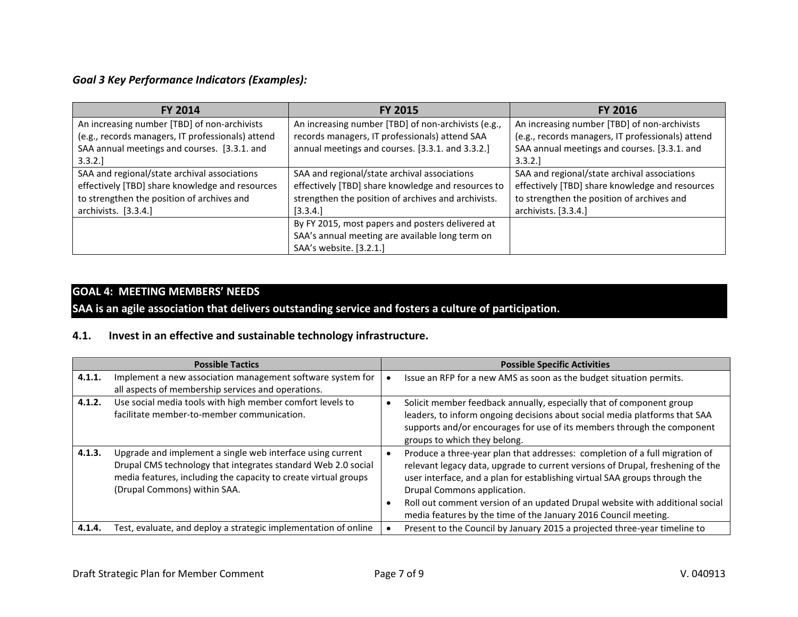## *Goal 3 Key Performance Indicators (Examples):*

| FY 2014                                           | <b>FY 2015</b>                                      | <b>FY 2016</b>                                    |
|---------------------------------------------------|-----------------------------------------------------|---------------------------------------------------|
| An increasing number [TBD] of non-archivists      | An increasing number [TBD] of non-archivists (e.g., | An increasing number [TBD] of non-archivists      |
| (e.g., records managers, IT professionals) attend | records managers, IT professionals) attend SAA      | (e.g., records managers, IT professionals) attend |
| SAA annual meetings and courses. [3.3.1. and      | annual meetings and courses. [3.3.1. and 3.3.2.]    | SAA annual meetings and courses. [3.3.1. and      |
| 3.3.2.]                                           |                                                     | 3.3.2.]                                           |
| SAA and regional/state archival associations      | SAA and regional/state archival associations        | SAA and regional/state archival associations      |
| effectively [TBD] share knowledge and resources   | effectively [TBD] share knowledge and resources to  | effectively [TBD] share knowledge and resources   |
| to strengthen the position of archives and        | strengthen the position of archives and archivists. | to strengthen the position of archives and        |
| archivists. [3.3.4.]                              | [3.3.4.]                                            | archivists. [3.3.4.]                              |
|                                                   | By FY 2015, most papers and posters delivered at    |                                                   |
|                                                   | SAA's annual meeting are available long term on     |                                                   |
|                                                   | SAA's website. [3.2.1.]                             |                                                   |

#### **GOAL 4: MEETING MEMBERS' NEEDS**

**SAA is an agile association that delivers outstanding service and fosters a culture of participation.**

#### **4.1. Invest in an effective and sustainable technology infrastructure.**

|        | <b>Possible Tactics</b>                                                                                                                                                                                                        | <b>Possible Specific Activities</b>                                                                                                                                                                                                                                                                                                                                                                                           |
|--------|--------------------------------------------------------------------------------------------------------------------------------------------------------------------------------------------------------------------------------|-------------------------------------------------------------------------------------------------------------------------------------------------------------------------------------------------------------------------------------------------------------------------------------------------------------------------------------------------------------------------------------------------------------------------------|
| 4.1.1. | Implement a new association management software system for<br>all aspects of membership services and operations.                                                                                                               | Issue an RFP for a new AMS as soon as the budget situation permits.                                                                                                                                                                                                                                                                                                                                                           |
| 4.1.2. | Use social media tools with high member comfort levels to<br>facilitate member-to-member communication.                                                                                                                        | Solicit member feedback annually, especially that of component group<br>leaders, to inform ongoing decisions about social media platforms that SAA<br>supports and/or encourages for use of its members through the component<br>groups to which they belong.                                                                                                                                                                 |
| 4.1.3. | Upgrade and implement a single web interface using current<br>Drupal CMS technology that integrates standard Web 2.0 social<br>media features, including the capacity to create virtual groups<br>(Drupal Commons) within SAA. | Produce a three-year plan that addresses: completion of a full migration of<br>relevant legacy data, upgrade to current versions of Drupal, freshening of the<br>user interface, and a plan for establishing virtual SAA groups through the<br>Drupal Commons application.<br>Roll out comment version of an updated Drupal website with additional social<br>media features by the time of the January 2016 Council meeting. |
| 4.1.4. | Test, evaluate, and deploy a strategic implementation of online                                                                                                                                                                | Present to the Council by January 2015 a projected three-year timeline to                                                                                                                                                                                                                                                                                                                                                     |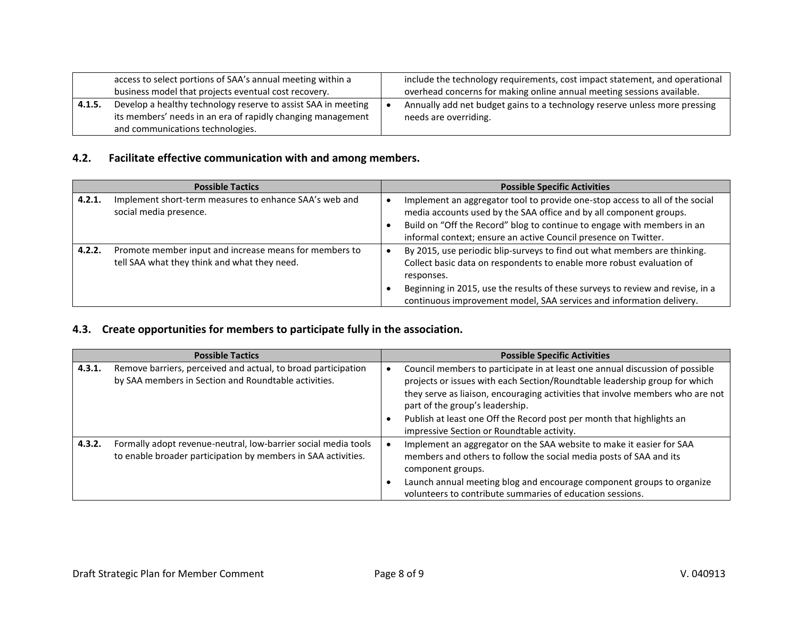|        | access to select portions of SAA's annual meeting within a<br>business model that projects eventual cost recovery.           | include the technology requirements, cost impact statement, and operational<br>overhead concerns for making online annual meeting sessions available. |
|--------|------------------------------------------------------------------------------------------------------------------------------|-------------------------------------------------------------------------------------------------------------------------------------------------------|
| 4.1.5. | Develop a healthy technology reserve to assist SAA in meeting<br>its members' needs in an era of rapidly changing management | Annually add net budget gains to a technology reserve unless more pressing<br>needs are overriding.                                                   |
|        | and communications technologies.                                                                                             |                                                                                                                                                       |

## **4.2. Facilitate effective communication with and among members.**

| <b>Possible Tactics</b> |                                                                                                        | <b>Possible Specific Activities</b>                                                                                                                                                                                                                                                                                        |  |
|-------------------------|--------------------------------------------------------------------------------------------------------|----------------------------------------------------------------------------------------------------------------------------------------------------------------------------------------------------------------------------------------------------------------------------------------------------------------------------|--|
| 4.2.1.                  | Implement short-term measures to enhance SAA's web and<br>social media presence.                       | Implement an aggregator tool to provide one-stop access to all of the social<br>media accounts used by the SAA office and by all component groups.<br>Build on "Off the Record" blog to continue to engage with members in an<br>informal context; ensure an active Council presence on Twitter.                           |  |
| 4.2.2.                  | Promote member input and increase means for members to<br>tell SAA what they think and what they need. | By 2015, use periodic blip-surveys to find out what members are thinking.<br>Collect basic data on respondents to enable more robust evaluation of<br>responses.<br>Beginning in 2015, use the results of these surveys to review and revise, in a<br>continuous improvement model, SAA services and information delivery. |  |

#### **4.3. Create opportunities for members to participate fully in the association.**

|        | <b>Possible Tactics</b>                                                                                                         | <b>Possible Specific Activities</b>                                                                                                                                                                                                                                                                                                                                                                    |
|--------|---------------------------------------------------------------------------------------------------------------------------------|--------------------------------------------------------------------------------------------------------------------------------------------------------------------------------------------------------------------------------------------------------------------------------------------------------------------------------------------------------------------------------------------------------|
| 4.3.1. | Remove barriers, perceived and actual, to broad participation<br>by SAA members in Section and Roundtable activities.           | Council members to participate in at least one annual discussion of possible<br>projects or issues with each Section/Roundtable leadership group for which<br>they serve as liaison, encouraging activities that involve members who are not<br>part of the group's leadership.<br>Publish at least one Off the Record post per month that highlights an<br>impressive Section or Roundtable activity. |
| 4.3.2. | Formally adopt revenue-neutral, low-barrier social media tools<br>to enable broader participation by members in SAA activities. | Implement an aggregator on the SAA website to make it easier for SAA<br>members and others to follow the social media posts of SAA and its<br>component groups.<br>Launch annual meeting blog and encourage component groups to organize<br>volunteers to contribute summaries of education sessions.                                                                                                  |